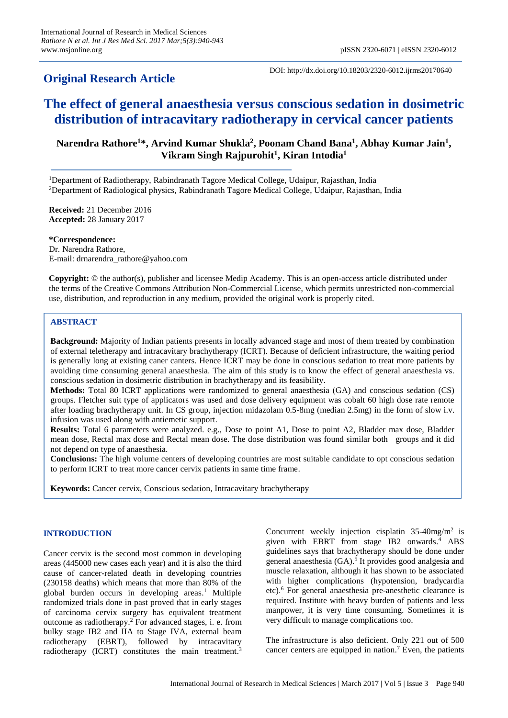# **Original Research Article**

DOI: http://dx.doi.org/10.18203/2320-6012.ijrms20170640

# **The effect of general anaesthesia versus conscious sedation in dosimetric distribution of intracavitary radiotherapy in cervical cancer patients**

## **Narendra Rathore<sup>1</sup>\*, Arvind Kumar Shukla<sup>2</sup> , Poonam Chand Bana<sup>1</sup> , Abhay Kumar Jain<sup>1</sup> , Vikram Singh Rajpurohit<sup>1</sup> , Kiran Intodia<sup>1</sup>**

<sup>1</sup>Department of Radiotherapy, Rabindranath Tagore Medical College, Udaipur, Rajasthan, India <sup>2</sup>Department of Radiological physics, Rabindranath Tagore Medical College, Udaipur, Rajasthan, India

**Received:** 21 December 2016 **Accepted:** 28 January 2017

**\*Correspondence:** Dr. Narendra Rathore, E-mail: drnarendra\_rathore@yahoo.com

**Copyright:** © the author(s), publisher and licensee Medip Academy. This is an open-access article distributed under the terms of the Creative Commons Attribution Non-Commercial License, which permits unrestricted non-commercial use, distribution, and reproduction in any medium, provided the original work is properly cited.

## **ABSTRACT**

**Background:** Majority of Indian patients presents in locally advanced stage and most of them treated by combination of external teletherapy and intracavitary brachytherapy (ICRT). Because of deficient infrastructure, the waiting period is generally long at existing caner canters. Hence ICRT may be done in conscious sedation to treat more patients by avoiding time consuming general anaesthesia. The aim of this study is to know the effect of general anaesthesia vs. conscious sedation in dosimetric distribution in brachytherapy and its feasibility.

**Methods:** Total 80 ICRT applications were randomized to general anaesthesia (GA) and conscious sedation (CS) groups. Fletcher suit type of applicators was used and dose delivery equipment was cobalt 60 high dose rate remote after loading brachytherapy unit. In CS group, injection midazolam 0.5-8mg (median 2.5mg) in the form of slow i.v. infusion was used along with antiemetic support.

**Results:** Total 6 parameters were analyzed. e.g., Dose to point A1, Dose to point A2, Bladder max dose, Bladder mean dose, Rectal max dose and Rectal mean dose. The dose distribution was found similar both groups and it did not depend on type of anaesthesia.

**Conclusions:** The high volume centers of developing countries are most suitable candidate to opt conscious sedation to perform ICRT to treat more cancer cervix patients in same time frame.

**Keywords:** Cancer cervix, Conscious sedation, Intracavitary brachytherapy

## **INTRODUCTION**

Cancer cervix is the second most common in developing areas (445000 new cases each year) and it is also the third cause of cancer-related death in developing countries (230158 deaths) which means that more than 80% of the global burden occurs in developing areas. <sup>1</sup> Multiple randomized trials done in past proved that in early stages of carcinoma cervix surgery has equivalent treatment outcome as radiotherapy. <sup>2</sup> For advanced stages, i. e. from bulky stage IB2 and IIA to Stage IVA, external beam radiotherapy (EBRT), followed by intracavitary radiotherapy (ICRT) constitutes the main treatment.<sup>3</sup>

Concurrent weekly injection cisplatin  $35-40$ mg/m<sup>2</sup> is given with EBRT from stage IB2 onwards. <sup>4</sup> ABS guidelines says that brachytherapy should be done under general anaesthesia (GA).<sup>5</sup> It provides good analgesia and muscle relaxation, although it has shown to be associated with higher complications (hypotension, bradycardia etc).<sup>6</sup> For general anaesthesia pre-anesthetic clearance is required. Institute with heavy burden of patients and less manpower, it is very time consuming. Sometimes it is very difficult to manage complications too.

The infrastructure is also deficient. Only 221 out of 500 cancer centers are equipped in nation. <sup>7</sup> Even, the patients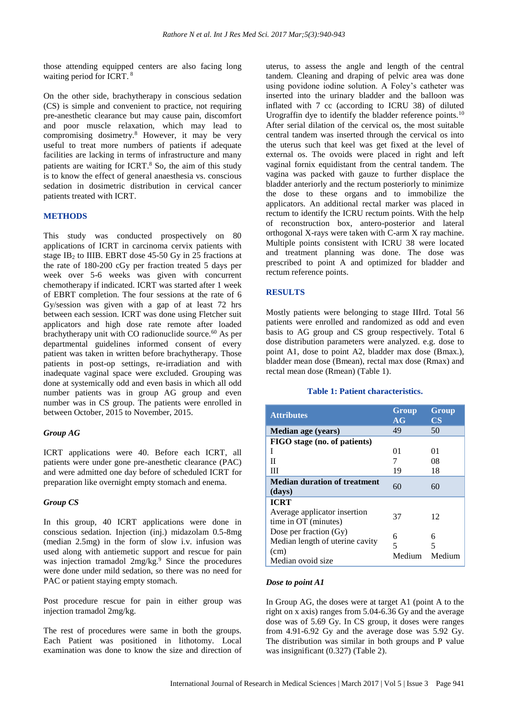those attending equipped centers are also facing long waiting period for ICRT. 8

On the other side, brachytherapy in conscious sedation (CS) is simple and convenient to practice, not requiring pre-anesthetic clearance but may cause pain, discomfort and poor muscle relaxation, which may lead to compromising dosimetry.<sup>8</sup> However, it may be very useful to treat more numbers of patients if adequate facilities are lacking in terms of infrastructure and many patients are waiting for ICRT.<sup>8</sup> So, the aim of this study is to know the effect of general anaesthesia vs. conscious sedation in dosimetric distribution in cervical cancer patients treated with ICRT.

## **METHODS**

This study was conducted prospectively on 80 applications of ICRT in carcinoma cervix patients with stage  $IB_2$  to IIIB. EBRT dose 45-50 Gy in 25 fractions at the rate of 180-200 cGy per fraction treated 5 days per week over 5-6 weeks was given with concurrent chemotherapy if indicated. ICRT was started after 1 week of EBRT completion. The four sessions at the rate of 6 Gy/session was given with a gap of at least 72 hrs between each session. ICRT was done using Fletcher suit applicators and high dose rate remote after loaded brachytherapy unit with CO radionuclide source. $60$  As per departmental guidelines informed consent of every patient was taken in written before brachytherapy. Those patients in post-op settings, re-irradiation and with inadequate vaginal space were excluded. Grouping was done at systemically odd and even basis in which all odd number patients was in group AG group and even number was in CS group. The patients were enrolled in between October, 2015 to November, 2015.

#### *Group AG*

ICRT applications were 40. Before each ICRT, all patients were under gone pre-anesthetic clearance (PAC) and were admitted one day before of scheduled ICRT for preparation like overnight empty stomach and enema.

#### *Group CS*

In this group, 40 ICRT applications were done in conscious sedation. Injection (inj.) midazolam 0.5-8mg (median 2.5mg) in the form of slow i.v. infusion was used along with antiemetic support and rescue for pain was injection tramadol 2mg/kg.<sup>9</sup> Since the procedures were done under mild sedation, so there was no need for PAC or patient staying empty stomach.

Post procedure rescue for pain in either group was injection tramadol 2mg/kg.

The rest of procedures were same in both the groups. Each Patient was positioned in lithotomy. Local examination was done to know the size and direction of uterus, to assess the angle and length of the central tandem. Cleaning and draping of pelvic area was done using povidone iodine solution. A Foley's catheter was inserted into the urinary bladder and the balloon was inflated with 7 cc (according to ICRU 38) of diluted Urograffin dye to identify the bladder reference points.<sup>10</sup> After serial dilation of the cervical os, the most suitable central tandem was inserted through the cervical os into the uterus such that keel was get fixed at the level of external os. The ovoids were placed in right and left vaginal fornix equidistant from the central tandem. The vagina was packed with gauze to further displace the bladder anteriorly and the rectum posteriorly to minimize the dose to these organs and to immobilize the applicators. An additional rectal marker was placed in rectum to identify the ICRU rectum points. With the help of reconstruction box, antero-posterior and lateral orthogonal X-rays were taken with C-arm X ray machine. Multiple points consistent with ICRU 38 were located and treatment planning was done. The dose was prescribed to point A and optimized for bladder and rectum reference points.

## **RESULTS**

Mostly patients were belonging to stage IIIrd. Total 56 patients were enrolled and randomized as odd and even basis to AG group and CS group respectively. Total 6 dose distribution parameters were analyzed. e.g. dose to point A1, dose to point A2, bladder max dose (Bmax.), bladder mean dose (Bmean), rectal max dose (Rmax) and rectal mean dose (Rmean) (Table 1).

## **Table 1: Patient characteristics.**

| <b>Attributes</b>                                                                      | Group<br>AG      | Group<br>$\mathbf{CS}$ |
|----------------------------------------------------------------------------------------|------------------|------------------------|
| <b>Median age (years)</b>                                                              | 49               | 50                     |
| FIGO stage (no. of patients)                                                           |                  |                        |
| I                                                                                      | 01               | 01                     |
| Н                                                                                      | 7                | 08                     |
| Ш                                                                                      | 19               | 18                     |
| <b>Median duration of treatment</b><br>(days)                                          | 60               | 60                     |
| <b>ICRT</b>                                                                            |                  |                        |
| Average applicator insertion<br>time in OT (minutes)                                   | 37               | 12                     |
| Dose per fraction (Gy)<br>Median length of uterine cavity<br>(cm)<br>Median ovoid size | 6<br>5<br>Medium | 6<br>5<br>Medium       |

## *Dose to point A1*

In Group AG, the doses were at target A1 (point A to the right on x axis) ranges from 5.04-6.36 Gy and the average dose was of 5.69 Gy. In CS group, it doses were ranges from 4.91-6.92 Gy and the average dose was 5.92 Gy. The distribution was similar in both groups and P value was insignificant (0.327) (Table 2).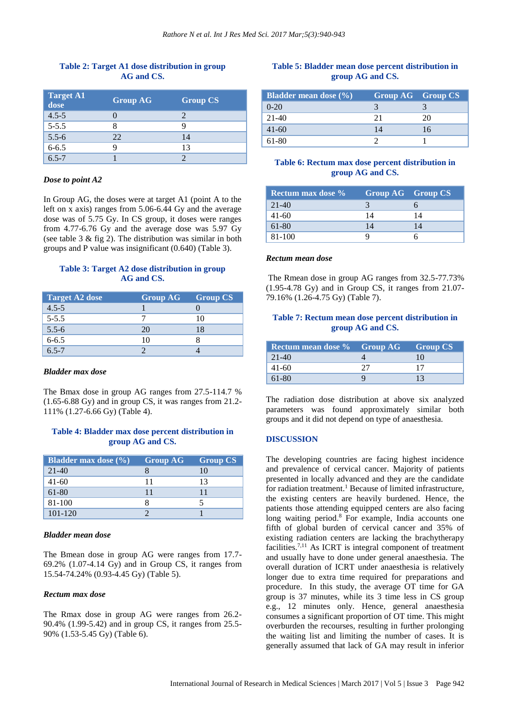## **Table 2: Target A1 dose distribution in group AG and CS.**

| <b>Target A1</b><br>dose | <b>Group AG</b> | <b>Group CS</b> |
|--------------------------|-----------------|-----------------|
| $4.5 - 5$                |                 |                 |
| $5 - 5.5$                |                 |                 |
| $5.5 - 6$                | 22              | 14              |
| $6 - 6.5$                |                 | 13              |
| $6.5 - 7$                |                 |                 |

#### *Dose to point A2*

In Group AG, the doses were at target A1 (point A to the left on x axis) ranges from 5.06-6.44 Gy and the average dose was of 5.75 Gy. In CS group, it doses were ranges from 4.77-6.76 Gy and the average dose was 5.97 Gy (see table 3 & fig 2). The distribution was similar in both groups and P value was insignificant (0.640) (Table 3).

## **Table 3: Target A2 dose distribution in group AG and CS.**

| <b>Target A2 dose</b> | <b>Group AG</b> | <b>Group CS</b> |
|-----------------------|-----------------|-----------------|
| $4.5 - 5$             |                 |                 |
| $5 - 5.5$             |                 | 10              |
| $5.5 - 6$             | 20              | 18              |
| $6 - 6.5$             | 10              |                 |
| $65 - 7$              |                 |                 |

## *Bladder max dose*

The Bmax dose in group AG ranges from 27.5-114.7 % (1.65-6.88 Gy) and in group CS, it was ranges from 21.2- 111% (1.27-6.66 Gy) (Table 4).

## **Table 4: Bladder max dose percent distribution in group AG and CS.**

| <b>Bladder max dose</b> (%) | <b>Group AG</b> | <b>Group CS</b> |
|-----------------------------|-----------------|-----------------|
| $21-40$                     |                 |                 |
| $41 - 60$                   | 11              | 13              |
| 61-80                       |                 |                 |
| 81-100                      |                 |                 |
| $101 - 120$                 |                 |                 |

#### *Bladder mean dose*

The Bmean dose in group AG were ranges from 17.7- 69.2% (1.07-4.14 Gy) and in Group CS, it ranges from 15.54-74.24% (0.93-4.45 Gy) (Table 5).

#### *Rectum max dose*

The Rmax dose in group AG were ranges from 26.2- 90.4% (1.99-5.42) and in group CS, it ranges from 25.5- 90% (1.53-5.45 Gy) (Table 6).

## **Table 5: Bladder mean dose percent distribution in group AG and CS.**

| <b>Bladder mean dose</b> (%) | <b>Group AG</b> Group CS |    |
|------------------------------|--------------------------|----|
| $0-20$                       |                          |    |
| 21-40                        |                          | 20 |
| $41 - 60$                    |                          | 16 |
| 61-80                        |                          |    |

## **Table 6: Rectum max dose percent distribution in group AG and CS.**

| Rectum max dose % | Group AG Group CS |    |
|-------------------|-------------------|----|
| $21-40$           |                   |    |
| $41 - 60$         | 14                | 14 |
| $61 - 80$         | 14                | 14 |
| 81-100            |                   |    |

#### *Rectum mean dose*

The Rmean dose in group AG ranges from 32.5-77.73% (1.95-4.78 Gy) and in Group CS, it ranges from 21.07- 79.16% (1.26-4.75 Gy) (Table 7).

## **Table 7: Rectum mean dose percent distribution in group AG and CS.**

| Rectum mean dose % Group AG | <b>Group CS</b> |
|-----------------------------|-----------------|
| $21-40$                     |                 |
| 41-60                       |                 |
| 61-80                       |                 |

The radiation dose distribution at above six analyzed parameters was found approximately similar both groups and it did not depend on type of anaesthesia.

#### **DISCUSSION**

The developing countries are facing highest incidence and prevalence of cervical cancer. Majority of patients presented in locally advanced and they are the candidate for radiation treatment. <sup>1</sup> Because of limited infrastructure, the existing centers are heavily burdened. Hence, the patients those attending equipped centers are also facing long waiting period. <sup>8</sup> For example, India accounts one fifth of global burden of cervical cancer and 35% of existing radiation centers are lacking the brachytherapy facilities. 7,11 As ICRT is integral component of treatment and usually have to done under general anaesthesia. The overall duration of ICRT under anaesthesia is relatively longer due to extra time required for preparations and procedure. In this study, the average OT time for GA group is 37 minutes, while its 3 time less in CS group e.g., 12 minutes only. Hence, general anaesthesia consumes a significant proportion of OT time. This might overburden the recourses, resulting in further prolonging the waiting list and limiting the number of cases. It is generally assumed that lack of GA may result in inferior